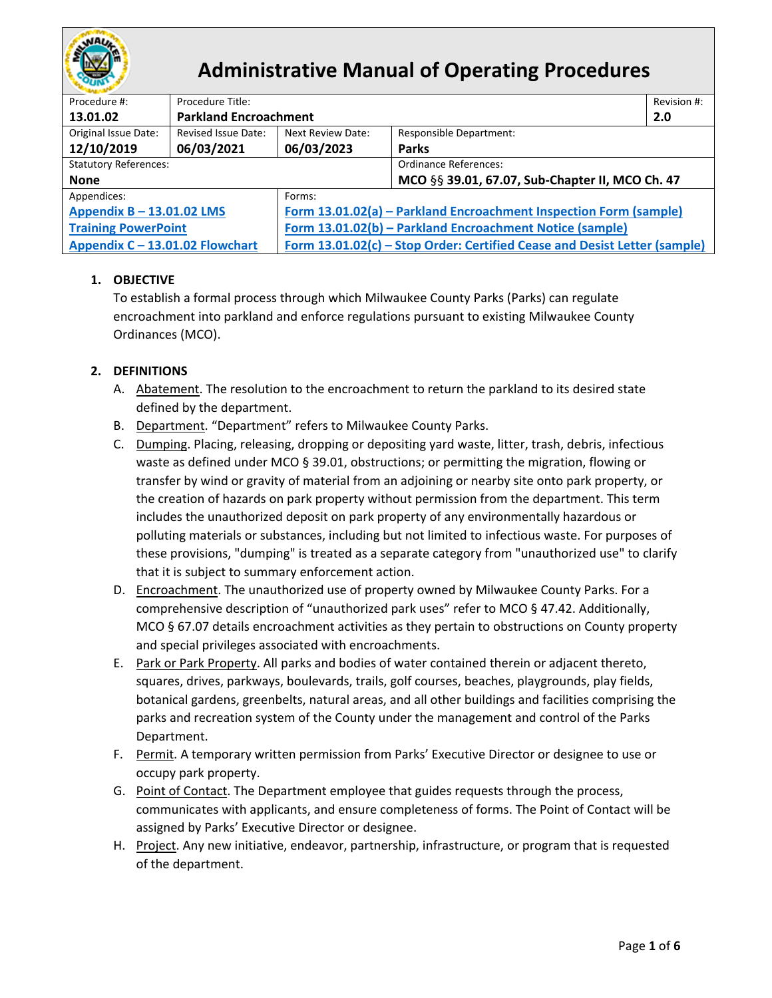

# **Administrative Manual of Operating Procedures**

| Procedure #:                    | Procedure Title:             |                                                                           |                                                 |     |  |  |
|---------------------------------|------------------------------|---------------------------------------------------------------------------|-------------------------------------------------|-----|--|--|
| 13.01.02                        | <b>Parkland Encroachment</b> |                                                                           |                                                 | 2.0 |  |  |
| Original Issue Date:            | Revised Issue Date:          | Next Review Date:                                                         | <b>Responsible Department:</b>                  |     |  |  |
| 12/10/2019                      | 06/03/2021                   | 06/03/2023                                                                | <b>Parks</b>                                    |     |  |  |
| <b>Statutory References:</b>    |                              |                                                                           | <b>Ordinance References:</b>                    |     |  |  |
| <b>None</b>                     |                              |                                                                           | MCO §§ 39.01, 67.07, Sub-Chapter II, MCO Ch. 47 |     |  |  |
| Appendices:                     |                              | Forms:                                                                    |                                                 |     |  |  |
| Appendix B - 13.01.02 LMS       |                              | Form 13.01.02(a) - Parkland Encroachment Inspection Form (sample)         |                                                 |     |  |  |
| <b>Training PowerPoint</b>      |                              | Form 13.01.02(b) - Parkland Encroachment Notice (sample)                  |                                                 |     |  |  |
| Appendix C - 13.01.02 Flowchart |                              | Form 13.01.02(c) - Stop Order: Certified Cease and Desist Letter (sample) |                                                 |     |  |  |

# **1. OBJECTIVE**

To establish a formal process through which Milwaukee County Parks (Parks) can regulate encroachment into parkland and enforce regulations pursuant to existing Milwaukee County Ordinances (MCO).

## <span id="page-0-0"></span>**2. DEFINITIONS**

- A. Abatement. The resolution to the encroachment to return the parkland to its desired state defined by the department.
- B. Department. "Department" refers to Milwaukee County Parks.
- C. Dumping. Placing, releasing, dropping or depositing yard waste, litter, trash, debris, infectious waste as defined under MCO § 39.01, obstructions; or permitting the migration, flowing or transfer by wind or gravity of material from an adjoining or nearby site onto park property, or the creation of hazards on park property without permission from the department. This term includes the unauthorized deposit on park property of any environmentally hazardous or polluting materials or substances, including but not limited to infectious waste. For purposes of these provisions, "dumping" is treated as a separate category from "unauthorized use" to clarify that it is subject to summary enforcement action.
- D. Encroachment. The unauthorized use of property owned by Milwaukee County Parks. For a comprehensive description of "unauthorized park uses" refer to MCO § 47.42. Additionally, MCO § 67.07 details encroachment activities as they pertain to obstructions on County property and special privileges associated with encroachments.
- E. Park or Park Property. All parks and bodies of water contained therein or adjacent thereto, squares, drives, parkways, boulevards, trails, golf courses, beaches, playgrounds, play fields, botanical gardens, greenbelts, natural areas, and all other buildings and facilities comprising the parks and recreation system of the County under the management and control of the Parks Department.
- F. Permit. A temporary written permission from Parks' Executive Director or designee to use or occupy park property.
- G. Point of Contact. The Department employee that guides requests through the process, communicates with applicants, and ensure completeness of forms. The Point of Contact will be assigned by Parks' Executive Director or designee.
- H. Project. Any new initiative, endeavor, partnership, infrastructure, or program that is requested of the department.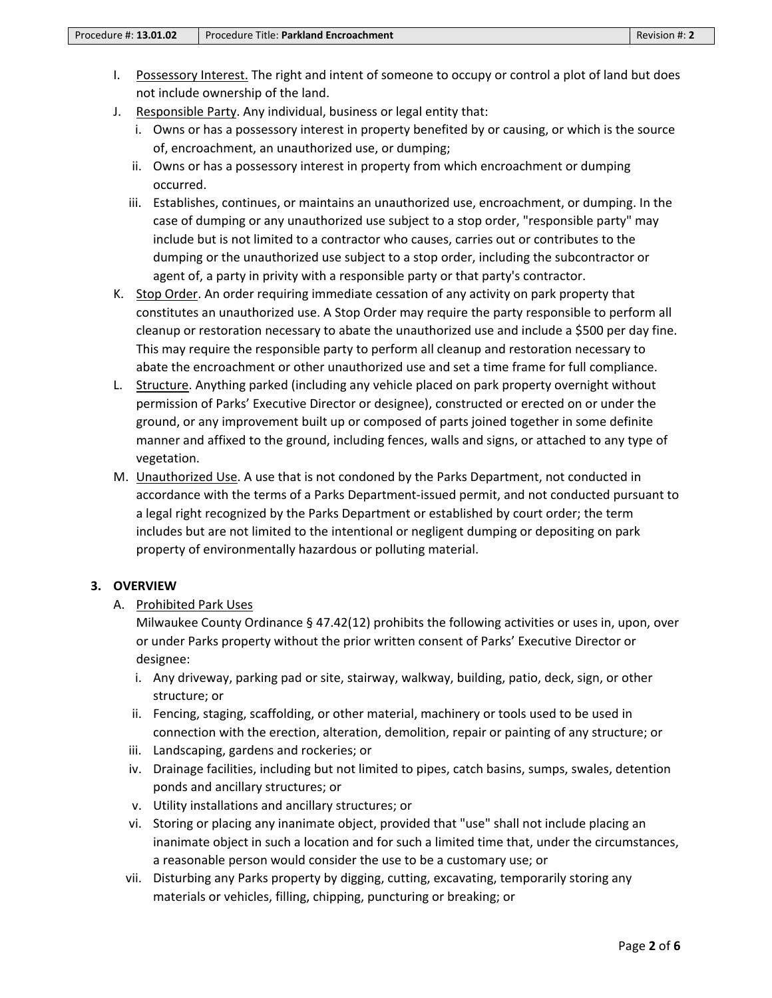- <span id="page-1-0"></span>I. Possessory Interest. The right and intent of someone to occupy or control a plot of land but does not include ownership of the land.
- J. Responsible Party. Any individual, business or legal entity that:
	- i. Owns or has a possessory interest in property benefited by or causing, or which is the source of, encroachment, an unauthorized use, or [dumping;](#page-1-0)
	- ii. Owns or has a possessory interest in property from which encroachment or [dumping](#page-1-0) occurred.
	- iii. Establishes, continues, or maintains an unauthorized use, encroachment, or [dumping.](#page-1-0) In the case of [dumping](#page-1-0) or any unauthorized use subject to a stop order, "responsible party" may include but is not limited to a contractor who causes, carries out or contributes to the [dumping](#page-1-0) or the unauthorized use subject to a stop order, including the subcontractor or agent of, a party in privity with a responsible party or that party's contractor.
- <span id="page-1-2"></span>K. Stop Order. An order requiring immediate cessation of any activity on park property that constitutes an unauthorized use. A Stop Order may require the party responsible to perform all cleanup or restoration necessary to abate the unauthorized use and include a \$500 per day fine. This may require the responsible party to perform all cleanup and restoration necessary to abate the encroachment or other unauthorized use and set a time frame for full compliance.
- <span id="page-1-1"></span>L. Structure. Anything parked (including any vehicle placed on park property overnight without permission of Parks' Executive Director or designee), constructed or erected on or under the ground, or any improvement built up or composed of parts joined together in some definite manner and affixed to the ground, including fences, walls and signs, or attached to any type of vegetation.
- <span id="page-1-3"></span>M. Unauthorized Use. A use that is not condoned by the Parks Department, not conducted in accordance with the terms of a Parks Department-issued permit, and not conducted pursuant to a legal right recognized by the Parks Department or established by court order; the term includes but are not limited to the intentional or negligent [dumping](#page-1-0) or depositing on park property of environmentally hazardous or polluting material.

### **3. OVERVIEW**

A. Prohibited Park Uses

Milwaukee County Ordinance § 47.42(12) prohibits the following activities or uses in, upon, over or under Parks property without the prior written consent of Parks' Executive Director or designee:

- i. Any driveway, parking pad or site, stairway, walkway, building, patio, deck, sign, or other [structure;](#page-1-1) or
- ii. Fencing, staging, scaffolding, or other material, machinery or tools used to be used in connection with the erection, alteration, demolition, repair or painting of any structure; or
- iii. Landscaping, gardens and rockeries; or
- iv. Drainage facilities, including but not limited to pipes, catch basins, sumps, swales, detention ponds and ancillary structures; or
- v. Utility installations and ancillary structures; or
- vi. Storing or placing any inanimate object, provided that "use" shall not include placing an inanimate object in such a location and for such a limited time that, under the circumstances, a reasonable person would consider the use to be a customary use; or
- vii. Disturbing any Parks property by digging, cutting, excavating, temporarily storing any materials or vehicles, filling, chipping, puncturing or breaking; or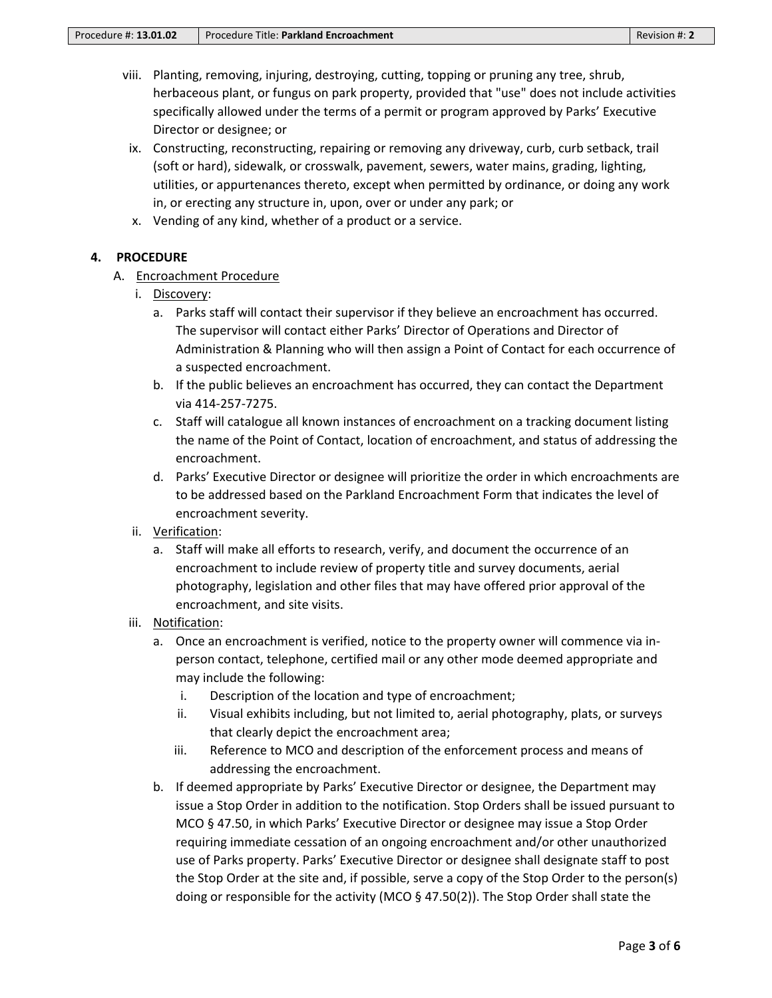- viii. Planting, removing, injuring, destroying, cutting, topping or pruning any tree, shrub, herbaceous plant, or fungus on park property, provided that "use" does not include activities specifically allowed under the terms of a [permit](#page-1-0) or program approved by Parks' Executive Director or designee; or
- ix. Constructing, reconstructing, repairing or removing any driveway, curb, curb setback, trail (soft or hard), sidewalk, or crosswalk, pavement, sewers, water mains, grading, lighting, utilities, or appurtenances thereto, except when permitted by ordinance, or doing any work in, or erecting any structure in, upon, over or under any park; or
- x. Vending of any kind, whether of a product or a service.

### **4. PROCEDURE**

### A. Encroachment Procedure

- i. Discovery:
	- a. Parks staff will contact their supervisor if they believe an encroachment has occurred. The supervisor will contact either Parks' Director of Operations and Director of Administration & Planning who will then assign a [Point of Contact](#page-1-0) for each occurrence of a suspected [encroachment.](#page-1-0)
	- b. If the public believes an encroachment has occurred, they can contact the Department via 414-257-7275.
	- c. Staff will catalogue all known instances of encroachment on a tracking document listing the name of the [Point of Contact,](#page-1-0) location of encroachment, and status of addressing the encroachment.
	- d. Parks' Executive Director or designee will prioritize the order in which encroachments are to be addressed based on the Parkland Encroachment Form that indicates the level of encroachment severity.
- ii. Verification:
	- a. Staff will make all efforts to research, verify, and document the occurrence of an encroachment to include review of property title and survey documents, aerial photography, legislation and other files that may have offered prior approval of the encroachment, and site visits.

### iii. Notification:

- a. Once an encroachment is verified, notice to the property owner will commence via inperson contact, telephone, certified mail or any other mode deemed appropriate and may include the following:
	- i. Description of the location and type of encroachment;
	- ii. Visual exhibits including, but not limited to, aerial photography, plats, or surveys that clearly depict the encroachment area;
	- iii. Reference to MCO and description of the enforcement process and means of addressing the encroachment.
- b. If deemed appropriate by Parks' Executive Director or designee, the Department may issue a [Stop Order](#page-1-2) in addition to the notification. Stop Orders shall be issued pursuant to MCO § 47.50, in which Parks' Executive Director or designee may issue a Stop Order requiring immediate cessation of an ongoing encroachment and/or other [unauthorized](#page-1-3)  [use](#page-1-3) of Parks property. Parks' Executive Director or designee shall designate staff to post the Stop Order at the site and, if possible, serve a copy of the Stop Order to the person(s) doing or responsible for the activity (MCO § 47.50(2)). The Stop Order shall state the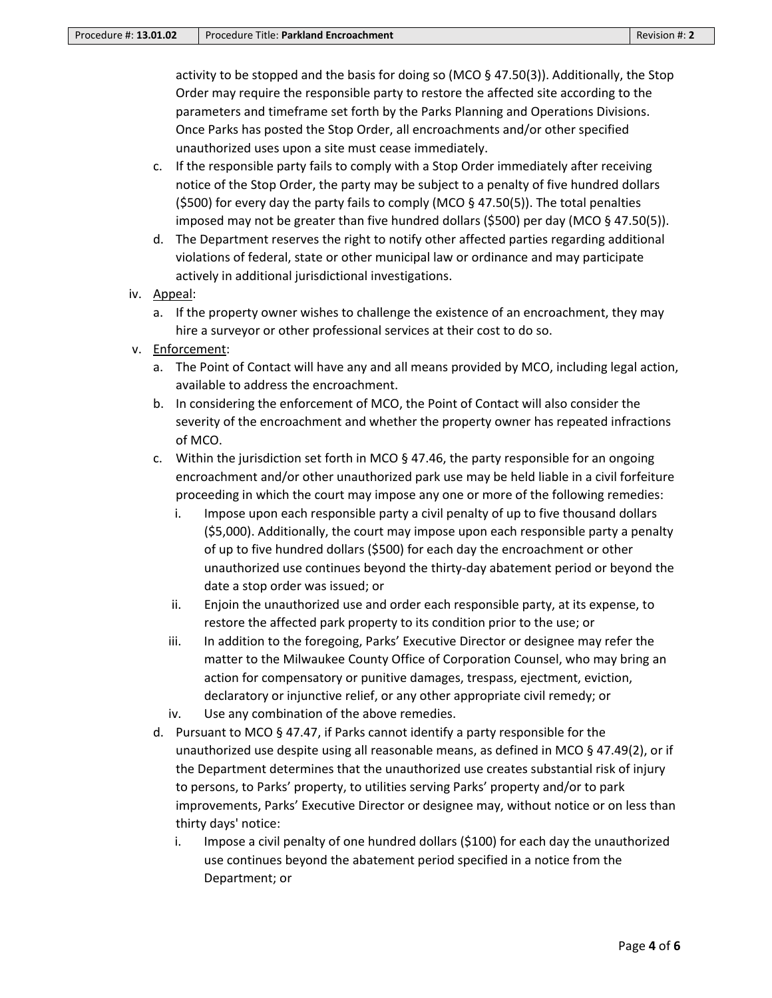activity to be stopped and the basis for doing so (MCO § 47.50(3)). Additionally, the Stop Order may require the [responsible party](#page-1-0) to restore the affected site according to the parameters and timeframe set forth by the Parks Planning and Operations Divisions. Once Parks has posted the Stop Order, all encroachments and/or other specified unauthorized uses upon a site must cease immediately.

- c. If the responsible party fails to comply with a Stop Order immediately after receiving notice of the Stop Order, the party may be subject to a penalty of five hundred dollars (\$500) for every day the party fails to comply (MCO  $\S$  47.50(5)). The total penalties imposed may not be greater than five hundred dollars (\$500) per day (MCO § 47.50(5)).
- d. The Department reserves the right to notify other affected parties regarding additional violations of federal, state or other municipal law or ordinance and may participate actively in additional jurisdictional investigations.
- iv. Appeal:
	- a. If the property owner wishes to challenge the existence of an encroachment, they may hire a surveyor or other professional services at their cost to do so.
- v. Enforcement:
	- a. Th[e Point of Contact](#page-1-0) will have any and all means provided by MCO, including legal action, available to address the encroachment.
	- b. In considering the enforcement of MCO, the Point of Contact will also consider the severity of the encroachment and whether the property owner has repeated infractions of MCO.
	- c. Within the jurisdiction set forth in MCO  $\S$  47.46, the party responsible for an ongoing encroachment and/or other [unauthorized park use](#page-1-3) may be held liable in a civil forfeiture proceeding in which the court may impose any one or more of the following remedies:
		- i. Impose upon each responsible party a civil penalty of up to five thousand dollars (\$5,000). Additionally, the court may impose upon each responsible party a penalty of up to five hundred dollars (\$500) for each day the encroachment or other unauthorized use continues beyond the thirty-day [abatement](#page-0-0) period or beyond the date a stop order was issued; or
		- ii. Enjoin the unauthorized use and order each responsible party, at its expense, to restore the affected park property to its condition prior to the use; or
		- iii. In addition to the foregoing, Parks' Executive Director or designee may refer the matter to the Milwaukee County Office of Corporation Counsel, who may bring an action for compensatory or punitive damages, trespass, ejectment, eviction, declaratory or injunctive relief, or any other appropriate civil remedy; or
		- iv. Use any combination of the above remedies.
	- d. Pursuant to MCO § 47.47, if Parks cannot identify a party responsible for the unauthorized use despite using all reasonable means, as defined in MCO § 47.49(2), or if the Department determines that the unauthorized use creates substantial risk of injury to persons, to Parks' property, to utilities serving Parks' property and/or to park improvements, Parks' Executive Director or designee may, without notice or on less than thirty days' notice:
		- i. Impose a civil penalty of one hundred dollars (\$100) for each day the unauthorized use continues beyond the [abatement](#page-0-0) period specified in a notice from the Department; or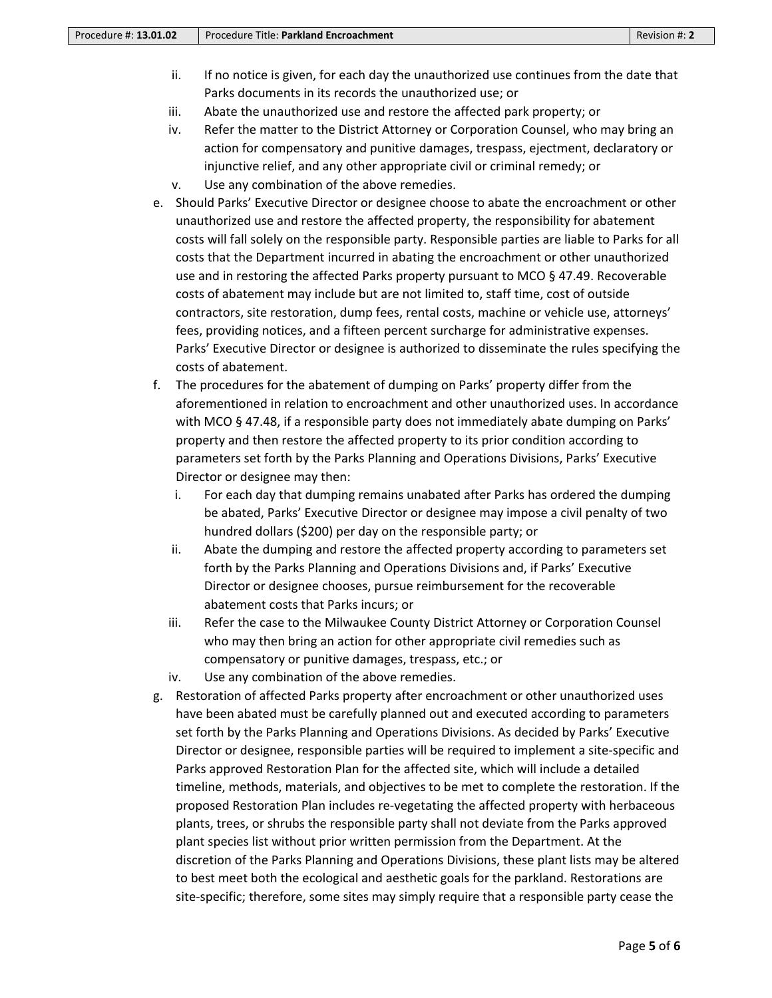- ii. If no notice is given, for each day the unauthorized use continues from the date that Parks documents in its records the unauthorized use; or
- iii. Abate the unauthorized use and restore the affected park property; or
- iv. Refer the matter to the District Attorney or Corporation Counsel, who may bring an action for compensatory and punitive damages, trespass, ejectment, declaratory or injunctive relief, and any other appropriate civil or criminal remedy; or
- v. Use any combination of the above remedies.
- e. Should Parks' Executive Director or designee choose to abate the encroachment or other unauthorized use and restore the affected property, the responsibility for [abatement](#page-0-0) costs will fall solely on the responsible party. Responsible parties are liable to Parks for all costs that the Department incurred in abating the encroachment or other unauthorized use and in restoring the affected Parks property pursuant to MCO § 47.49. Recoverable costs of [abatement](#page-0-0) may include but are not limited to, staff time, cost of outside contractors, site restoration, dump fees, rental costs, machine or vehicle use, attorneys' fees, providing notices, and a fifteen percent surcharge for administrative expenses. Parks' Executive Director or designee is authorized to disseminate the rules specifying the costs of [abatement.](#page-0-0)
- f. The procedures for th[e abatement](#page-0-0) of [dumping](#page-1-0) on Parks' property differ from the aforementioned in relation to encroachment and other [unauthorized uses.](#page-1-3) In accordance with MCO § 47.48, if a responsible party does not immediately abate [dumping](#page-1-0) on Parks' property and then restore the affected property to its prior condition according to parameters set forth by the Parks Planning and Operations Divisions, Parks' Executive Director or designee may then:
	- i. For each day that [dumping](#page-1-0) remains unabated after Parks has ordered the [dumping](#page-1-0) be abated, Parks' Executive Director or designee may impose a civil penalty of two hundred dollars (\$200) per day on the responsible party; or
	- ii. Abate the [dumping](#page-1-0) and restore the affected property according to parameters set forth by the Parks Planning and Operations Divisions and, if Parks' Executive Director or designee chooses, pursue reimbursement for the recoverable [abatement](#page-0-0) costs that Parks incurs; or
	- iii. Refer the case to the Milwaukee County District Attorney or Corporation Counsel who may then bring an action for other appropriate civil remedies such as compensatory or punitive damages, trespass, etc.; or
	- iv. Use any combination of the above remedies.
- g. Restoration of affected Parks property after [encroachment](#page-1-0) or other unauthorized uses have been abated must be carefully planned out and executed according to parameters set forth by the Parks Planning and Operations Divisions. As decided by Parks' Executive Director or designee, responsible parties will be required to implement a site-specific and Parks approved Restoration Plan for the affected site, which will include a detailed timeline, methods, materials, and objectives to be met to complete the restoration. If the proposed Restoration Plan includes re-vegetating the affected property with herbaceous plants, trees, or shrubs the responsible party shall not deviate from the Parks approved plant species list without prior written permission from the Department. At the discretion of the Parks Planning and Operations Divisions, these plant lists may be altered to best meet both the ecological and aesthetic goals for the parkland. Restorations are site-specific; therefore, some sites may simply require that a responsible party cease the